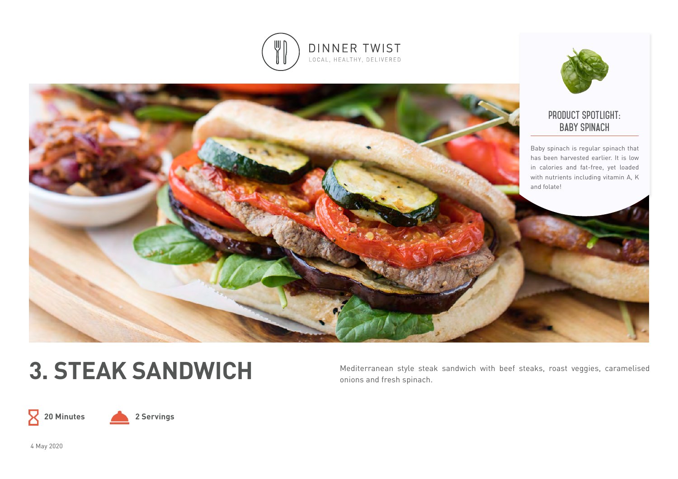



# **product spotlight: baby spinach**

Baby spinach is regular spinach that has been harvested earlier. It is low in calories and fat-free, yet loaded with nutrients including vitamin A, K and folate!

3. STEAK SANDWICH Mediterranean style steak sandwich with beef steaks, roast veggies, caramelised onions and fresh spinach.

 $\mathsf X$ 



4 May 2020